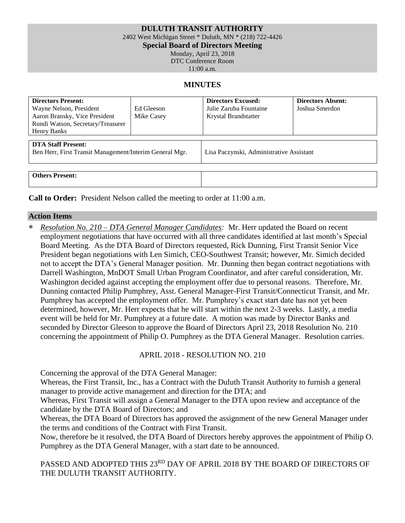### **DULUTH TRANSIT AUTHORITY**

2402 West Michigan Street \* Duluth, MN \* (218) 722-4426

**Special Board of Directors Meeting**

Monday, April 23, 2018

DTC Conference Room

11:00 a.m.

#### **MINUTES**

| <b>Directors Present:</b><br>Wayne Nelson, President<br>Aaron Bransky, Vice President<br>Rondi Watson, Secretary/Treasurer<br>Henry Banks | Ed Gleeson<br>Mike Casey | <b>Directors Excused:</b><br>Julie Zaruba Fountaine<br>Krystal Brandstatter | <b>Directors Absent:</b><br>Joshua Smerdon |
|-------------------------------------------------------------------------------------------------------------------------------------------|--------------------------|-----------------------------------------------------------------------------|--------------------------------------------|
| <b>DTA Staff Present:</b><br>Ben Herr, First Transit Management/Interim General Mgr.                                                      |                          | Lisa Paczynski, Administrative Assistant                                    |                                            |
| <b>Others Present:</b>                                                                                                                    |                          |                                                                             |                                            |

**Call to Order:** President Nelson called the meeting to order at 11:00 a.m.

### **Action Items**

 *Resolution No. 210 – DTA General Manager Candidates:* Mr. Herr updated the Board on recent employment negotiations that have occurred with all three candidates identified at last month's Special Board Meeting. As the DTA Board of Directors requested, Rick Dunning, First Transit Senior Vice President began negotiations with Len Simich, CEO-Southwest Transit; however, Mr. Simich decided not to accept the DTA's General Manager position. Mr. Dunning then began contract negotiations with Darrell Washington, MnDOT Small Urban Program Coordinator, and after careful consideration, Mr. Washington decided against accepting the employment offer due to personal reasons. Therefore, Mr. Dunning contacted Philip Pumphrey, Asst. General Manager-First Transit/Connecticut Transit, and Mr. Pumphrey has accepted the employment offer. Mr. Pumphrey's exact start date has not yet been determined, however, Mr. Herr expects that he will start within the next 2-3 weeks. Lastly, a media event will be held for Mr. Pumphrey at a future date. A motion was made by Director Banks and seconded by Director Gleeson to approve the Board of Directors April 23, 2018 Resolution No. 210 concerning the appointment of Philip O. Pumphrey as the DTA General Manager. Resolution carries.

APRIL 2018 - RESOLUTION NO. 210

Concerning the approval of the DTA General Manager:

Whereas, the First Transit, Inc., has a Contract with the Duluth Transit Authority to furnish a general manager to provide active management and direction for the DTA; and

Whereas, First Transit will assign a General Manager to the DTA upon review and acceptance of the candidate by the DTA Board of Directors; and

Whereas, the DTA Board of Directors has approved the assignment of the new General Manager under the terms and conditions of the Contract with First Transit.

Now, therefore be it resolved, the DTA Board of Directors hereby approves the appointment of Philip O. Pumphrey as the DTA General Manager, with a start date to be announced.

PASSED AND ADOPTED THIS 23RD DAY OF APRIL 2018 BY THE BOARD OF DIRECTORS OF THE DULUTH TRANSIT AUTHORITY.